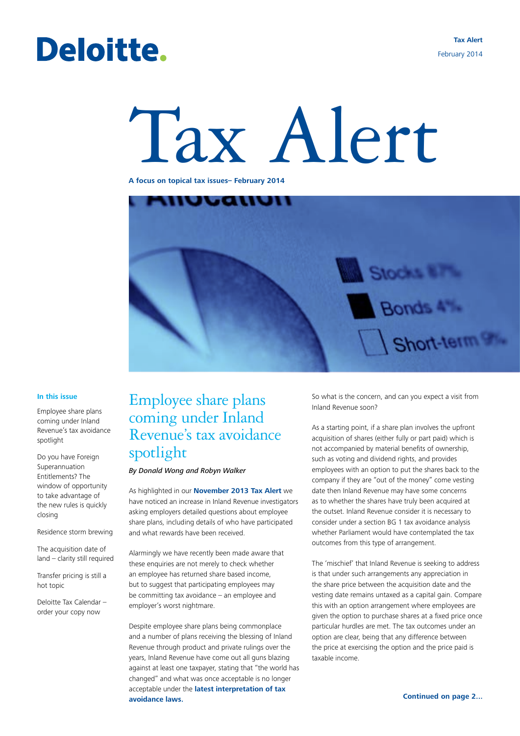## Deloitte.

# Tax Alert

**A focus on topical tax issues– February 2014**



#### **In this issue**

Employee share plans coming under Inland Revenue's tax avoidance spotlight

Do you have Foreign Superannuation Entitlements? The window of opportunity to take advantage of the new rules is quickly closing

Residence storm brewing

The acquisition date of land – clarity still required

Transfer pricing is still a hot topic

Deloitte Tax Calendar – order your copy now

## Employee share plans coming under Inland Revenue's tax avoidance spotlight

*By Donald Wong and Robyn Walker*

As highlighted in our **[November 2013 Tax Alert](http://www.deloitte.com/view/en_NZ/nz/services/tax-services/dda7c21f72c02410VgnVCM3000003456f70aRCRD.htm)** we have noticed an increase in Inland Revenue investigators asking employers detailed questions about employee share plans, including details of who have participated and what rewards have been received.

Alarmingly we have recently been made aware that these enquiries are not merely to check whether an employee has returned share based income, but to suggest that participating employees may be committing tax avoidance – an employee and employer's worst nightmare.

Despite employee share plans being commonplace and a number of plans receiving the blessing of Inland Revenue through product and private rulings over the years, Inland Revenue have come out all guns blazing against at least one taxpayer, stating that "the world has changed" and what was once acceptable is no longer acceptable under the **[latest interpretation of tax](http://www.deloitte.com/view/en_NZ/nz/services/tax-services/5810d9c4bc630410VgnVCM1000003256f70aRCRD.htm)  [avoidance laws.](http://www.deloitte.com/view/en_NZ/nz/services/tax-services/5810d9c4bc630410VgnVCM1000003256f70aRCRD.htm)** 

So what is the concern, and can you expect a visit from Inland Revenue soon?

As a starting point, if a share plan involves the upfront acquisition of shares (either fully or part paid) which is not accompanied by material benefits of ownership, such as voting and dividend rights, and provides employees with an option to put the shares back to the company if they are "out of the money" come vesting date then Inland Revenue may have some concerns as to whether the shares have truly been acquired at the outset. Inland Revenue consider it is necessary to consider under a section BG 1 tax avoidance analysis whether Parliament would have contemplated the tax outcomes from this type of arrangement.

The 'mischief' that Inland Revenue is seeking to address is that under such arrangements any appreciation in the share price between the acquisition date and the vesting date remains untaxed as a capital gain. Compare this with an option arrangement where employees are given the option to purchase shares at a fixed price once particular hurdles are met. The tax outcomes under an option are clear, being that any difference between the price at exercising the option and the price paid is taxable income.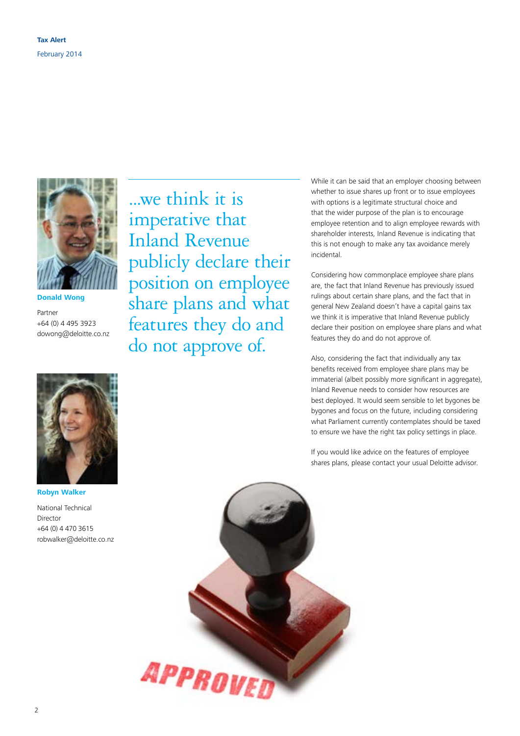

**Donald Wong**

Partner +64 (0) 4 495 3923 dowong@deloitte.co.nz



**Robyn Walker**

National Technical Director +64 (0) 4 470 3615 robwalker@deloitte.co.nz

...we think it is imperative that Inland Revenue publicly declare their position on employee share plans and what features they do and do not approve of.

While it can be said that an employer choosing between whether to issue shares up front or to issue employees with options is a legitimate structural choice and that the wider purpose of the plan is to encourage employee retention and to align employee rewards with shareholder interests, Inland Revenue is indicating that this is not enough to make any tax avoidance merely incidental.

Considering how commonplace employee share plans are, the fact that Inland Revenue has previously issued rulings about certain share plans, and the fact that in general New Zealand doesn't have a capital gains tax we think it is imperative that Inland Revenue publicly declare their position on employee share plans and what features they do and do not approve of.

Also, considering the fact that individually any tax benefits received from employee share plans may be immaterial (albeit possibly more significant in aggregate), Inland Revenue needs to consider how resources are best deployed. It would seem sensible to let bygones be bygones and focus on the future, including considering what Parliament currently contemplates should be taxed to ensure we have the right tax policy settings in place.

If you would like advice on the features of employee shares plans, please contact your usual Deloitte advisor.

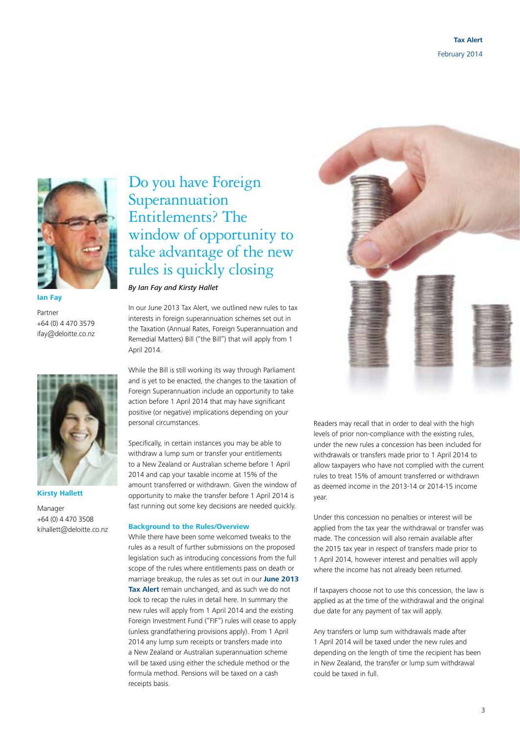

**Ian Fay**

Partner +64 (0) 4 470 3579 ifay@deloitte.co.nz



**Kirsty Hallett**

Manager +64 (0) 4 470 3508 kihallett@deloitte.co.nz

## Do you have Foreign **Superannuation** Entitlements? The window of opportunity to take advantage of the new rules is quickly closing

*By Ian Fay and Kirsty Hallet*

In our June 2013 Tax Alert, we outlined new rules to tax interests in foreign superannuation schemes set out in the Taxation (Annual Rates, Foreign Superannuation and Remedial Matters) Bill ("the Bill") that will apply from 1 April 2014.

While the Bill is still working its way through Parliament and is yet to be enacted, the changes to the taxation of Foreign Superannuation include an opportunity to take action before 1 April 2014 that may have significant positive (or negative) implications depending on your personal circumstances.

Specifically, in certain instances you may be able to withdraw a lump sum or transfer your entitlements to a New Zealand or Australian scheme before 1 April 2014 and cap your taxable income at 15% of the amount transferred or withdrawn. Given the window of opportunity to make the transfer before 1 April 2014 is fast running out some key decisions are needed quickly.

#### **Background to the Rules/Overview**

While there have been some welcomed tweaks to the rules as a result of further submissions on the proposed legislation such as introducing concessions from the full scope of the rules where entitlements pass on death or marriage breakup, the rules as set out in our **[June 2013](http://www.deloitte.com/view/en_NZ/nz/services/tax-services/c0455e0686b0f310VgnVCM2000003356f70aRCRD.htm)  [Tax Alert](http://www.deloitte.com/view/en_NZ/nz/services/tax-services/c0455e0686b0f310VgnVCM2000003356f70aRCRD.htm)** remain unchanged, and as such we do not look to recap the rules in detail here. In summary the new rules will apply from 1 April 2014 and the existing Foreign Investment Fund ("FIF") rules will cease to apply (unless grandfathering provisions apply). From 1 April 2014 any lump sum receipts or transfers made into a New Zealand or Australian superannuation scheme will be taxed using either the schedule method or the formula method. Pensions will be taxed on a cash receipts basis.



Readers may recall that in order to deal with the high levels of prior non-compliance with the existing rules, under the new rules a concession has been included for withdrawals or transfers made prior to 1 April 2014 to allow taxpayers who have not complied with the current rules to treat 15% of amount transferred or withdrawn as deemed income in the 2013-14 or 2014-15 income year.

Under this concession no penalties or interest will be applied from the tax year the withdrawal or transfer was made. The concession will also remain available after the 2015 tax year in respect of transfers made prior to 1 April 2014, however interest and penalties will apply where the income has not already been returned.

If taxpayers choose not to use this concession, the law is applied as at the time of the withdrawal and the original due date for any payment of tax will apply.

Any transfers or lump sum withdrawals made after 1 April 2014 will be taxed under the new rules and depending on the length of time the recipient has been in New Zealand, the transfer or lump sum withdrawal could be taxed in full.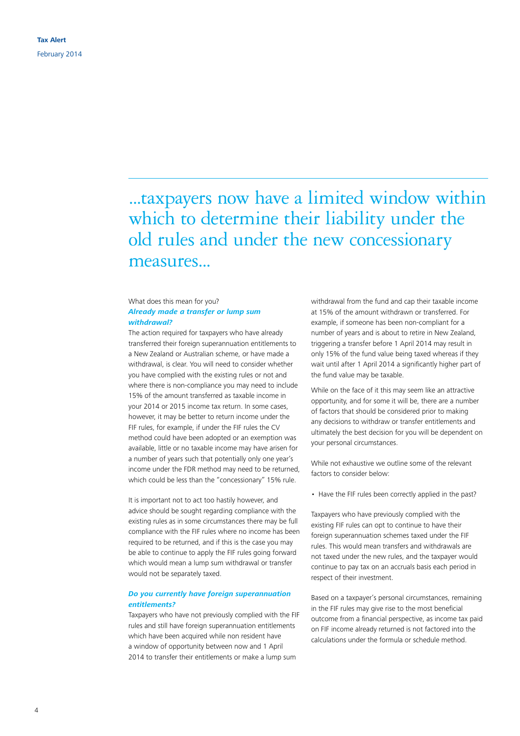...taxpayers now have a limited window within which to determine their liability under the old rules and under the new concessionary measures...

#### What does this mean for you? *Already made a transfer or lump sum withdrawal?*

The action required for taxpayers who have already transferred their foreign superannuation entitlements to a New Zealand or Australian scheme, or have made a withdrawal, is clear. You will need to consider whether you have complied with the existing rules or not and where there is non-compliance you may need to include 15% of the amount transferred as taxable income in your 2014 or 2015 income tax return. In some cases, however, it may be better to return income under the FIF rules, for example, if under the FIF rules the CV method could have been adopted or an exemption was available, little or no taxable income may have arisen for a number of years such that potentially only one year's income under the FDR method may need to be returned, which could be less than the "concessionary" 15% rule.

It is important not to act too hastily however, and advice should be sought regarding compliance with the existing rules as in some circumstances there may be full compliance with the FIF rules where no income has been required to be returned, and if this is the case you may be able to continue to apply the FIF rules going forward which would mean a lump sum withdrawal or transfer would not be separately taxed.

#### *Do you currently have foreign superannuation entitlements?*

Taxpayers who have not previously complied with the FIF rules and still have foreign superannuation entitlements which have been acquired while non resident have a window of opportunity between now and 1 April 2014 to transfer their entitlements or make a lump sum

withdrawal from the fund and cap their taxable income at 15% of the amount withdrawn or transferred. For example, if someone has been non-compliant for a number of years and is about to retire in New Zealand, triggering a transfer before 1 April 2014 may result in only 15% of the fund value being taxed whereas if they wait until after 1 April 2014 a significantly higher part of the fund value may be taxable.

While on the face of it this may seem like an attractive opportunity, and for some it will be, there are a number of factors that should be considered prior to making any decisions to withdraw or transfer entitlements and ultimately the best decision for you will be dependent on your personal circumstances.

While not exhaustive we outline some of the relevant factors to consider below:

• Have the FIF rules been correctly applied in the past?

Taxpayers who have previously complied with the existing FIF rules can opt to continue to have their foreign superannuation schemes taxed under the FIF rules. This would mean transfers and withdrawals are not taxed under the new rules, and the taxpayer would continue to pay tax on an accruals basis each period in respect of their investment.

Based on a taxpayer's personal circumstances, remaining in the FIF rules may give rise to the most beneficial outcome from a financial perspective, as income tax paid on FIF income already returned is not factored into the calculations under the formula or schedule method.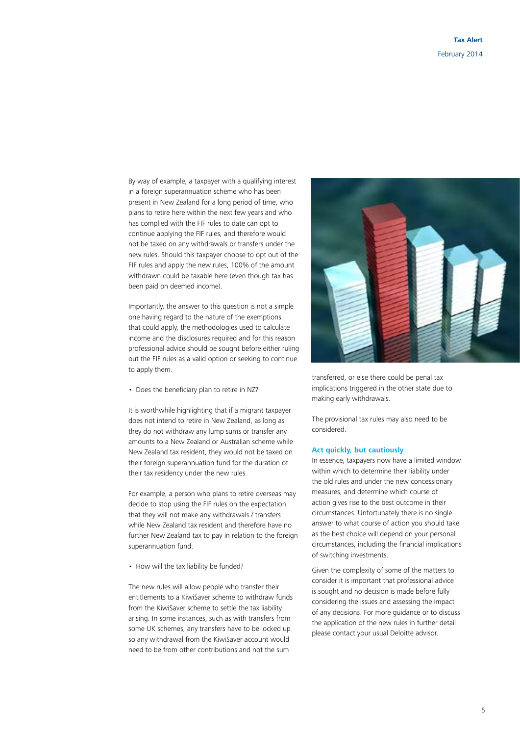By way of example, a taxpayer with a qualifying interest in a foreign superannuation scheme who has been present in New Zealand for a long period of time, who plans to retire here within the next few years and who has complied with the FIF rules to date can opt to continue applying the FIF rules, and therefore would not be taxed on any withdrawals or transfers under the new rules. Should this taxpayer choose to opt out of the FIF rules and apply the new rules, 100% of the amount withdrawn could be taxable here (even though tax has been paid on deemed income).

Importantly, the answer to this question is not a simple one having regard to the nature of the exemptions that could apply, the methodologies used to calculate income and the disclosures required and for this reason professional advice should be sought before either ruling out the FIF rules as a valid option or seeking to continue to apply them.

• Does the beneficiary plan to retire in NZ?

It is worthwhile highlighting that if a migrant taxpayer does not intend to retire in New Zealand, as long as they do not withdraw any lump sums or transfer any amounts to a New Zealand or Australian scheme while New Zealand tax resident, they would not be taxed on their foreign superannuation fund for the duration of their tax residency under the new rules.

For example, a person who plans to retire overseas may decide to stop using the FIF rules on the expectation that they will not make any withdrawals / transfers while New Zealand tax resident and therefore have no further New Zealand tax to pay in relation to the foreign superannuation fund.

• How will the tax liability be funded?

The new rules will allow people who transfer their entitlements to a KiwiSaver scheme to withdraw funds from the KiwiSaver scheme to settle the tax liability arising. In some instances, such as with transfers from some UK schemes, any transfers have to be locked up so any withdrawal from the KiwiSaver account would need to be from other contributions and not the sum



transferred, or else there could be penal tax implications triggered in the other state due to making early withdrawals.

The provisional tax rules may also need to be considered.

#### **Act quickly, but cautiously**

In essence, taxpayers now have a limited window within which to determine their liability under the old rules and under the new concessionary measures, and determine which course of action gives rise to the best outcome in their circumstances. Unfortunately there is no single answer to what course of action you should take as the best choice will depend on your personal circumstances, including the financial implications of switching investments.

Given the complexity of some of the matters to consider it is important that professional advice is sought and no decision is made before fully considering the issues and assessing the impact of any decisions. For more guidance or to discuss the application of the new rules in further detail please contact your usual Deloitte advisor.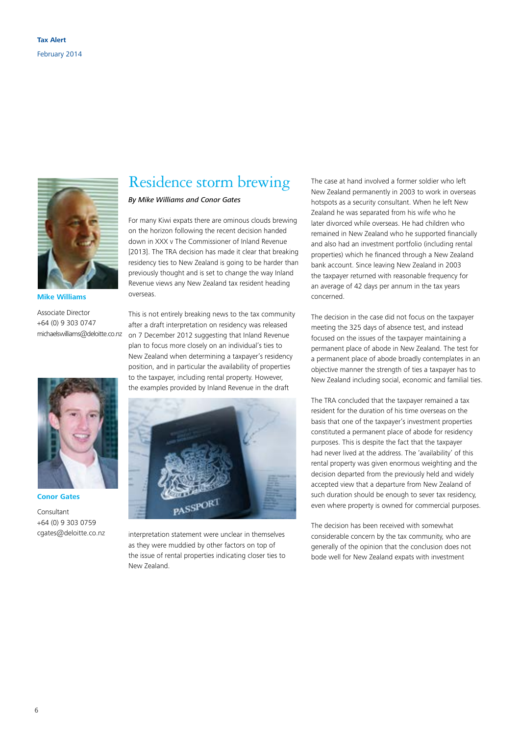

**Mike Williams**

Associate Director +64 (0) 9 303 0747 michaelswilliams@deloitte.co.nz



**Conor Gates**

Consultant +64 (0) 9 303 0759 cgates@deloitte.co.nz

## Residence storm brewing

*By Mike Williams and Conor Gates*

For many Kiwi expats there are ominous clouds brewing on the horizon following the recent decision handed down in XXX v The Commissioner of Inland Revenue [2013]. The TRA decision has made it clear that breaking residency ties to New Zealand is going to be harder than previously thought and is set to change the way Inland Revenue views any New Zealand tax resident heading overseas.

This is not entirely breaking news to the tax community after a draft interpretation on residency was released on 7 December 2012 suggesting that Inland Revenue plan to focus more closely on an individual's ties to New Zealand when determining a taxpayer's residency position, and in particular the availability of properties to the taxpayer, including rental property. However, the examples provided by Inland Revenue in the draft



interpretation statement were unclear in themselves as they were muddied by other factors on top of the issue of rental properties indicating closer ties to New Zealand.

The case at hand involved a former soldier who left New Zealand permanently in 2003 to work in overseas hotspots as a security consultant. When he left New Zealand he was separated from his wife who he later divorced while overseas. He had children who remained in New Zealand who he supported financially and also had an investment portfolio (including rental properties) which he financed through a New Zealand bank account. Since leaving New Zealand in 2003 the taxpayer returned with reasonable frequency for an average of 42 days per annum in the tax years concerned.

The decision in the case did not focus on the taxpayer meeting the 325 days of absence test, and instead focused on the issues of the taxpayer maintaining a permanent place of abode in New Zealand. The test for a permanent place of abode broadly contemplates in an objective manner the strength of ties a taxpayer has to New Zealand including social, economic and familial ties.

The TRA concluded that the taxpayer remained a tax resident for the duration of his time overseas on the basis that one of the taxpayer's investment properties constituted a permanent place of abode for residency purposes. This is despite the fact that the taxpayer had never lived at the address. The 'availability' of this rental property was given enormous weighting and the decision departed from the previously held and widely accepted view that a departure from New Zealand of such duration should be enough to sever tax residency, even where property is owned for commercial purposes.

The decision has been received with somewhat considerable concern by the tax community, who are generally of the opinion that the conclusion does not bode well for New Zealand expats with investment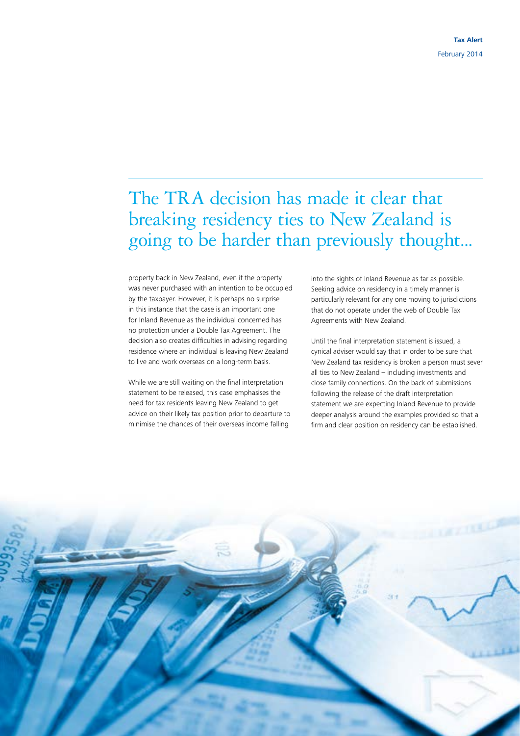## The TRA decision has made it clear that breaking residency ties to New Zealand is going to be harder than previously thought...

property back in New Zealand, even if the property was never purchased with an intention to be occupied by the taxpayer. However, it is perhaps no surprise in this instance that the case is an important one for Inland Revenue as the individual concerned has no protection under a Double Tax Agreement. The decision also creates difficulties in advising regarding residence where an individual is leaving New Zealand to live and work overseas on a long-term basis.

While we are still waiting on the final interpretation statement to be released, this case emphasises the need for tax residents leaving New Zealand to get advice on their likely tax position prior to departure to minimise the chances of their overseas income falling

into the sights of Inland Revenue as far as possible. Seeking advice on residency in a timely manner is particularly relevant for any one moving to jurisdictions that do not operate under the web of Double Tax Agreements with New Zealand.

Until the final interpretation statement is issued, a cynical adviser would say that in order to be sure that New Zealand tax residency is broken a person must sever all ties to New Zealand – including investments and close family connections. On the back of submissions following the release of the draft interpretation statement we are expecting Inland Revenue to provide deeper analysis around the examples provided so that a firm and clear position on residency can be established.

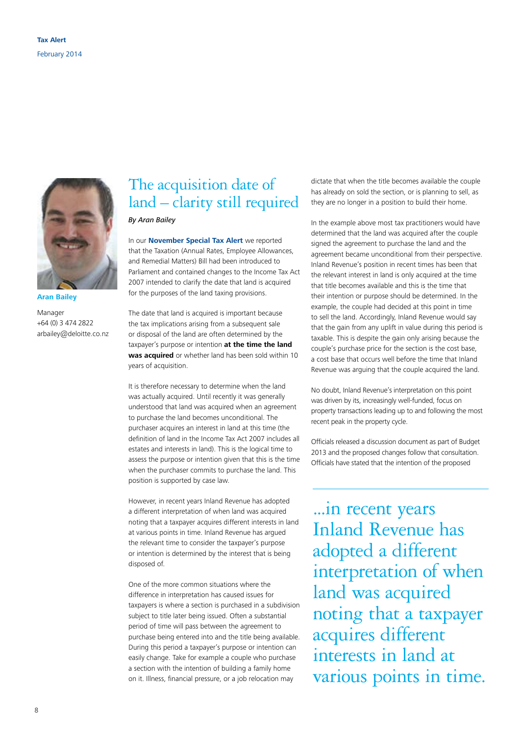

**Aran Bailey**

Manager +64 (0) 3 474 2822 arbailey@deloitte.co.nz

## The acquisition date of land – clarity still required

*By Aran Bailey*

In our **[November Special Tax Alert](http://www.deloitte.com/view/en_NZ/nz/services/tax-services/ffe3a63098c72410VgnVCM1000003256f70aRCRD.htm)** we reported that the Taxation (Annual Rates, Employee Allowances, and Remedial Matters) Bill had been introduced to Parliament and contained changes to the Income Tax Act 2007 intended to clarify the date that land is acquired for the purposes of the land taxing provisions.

The date that land is acquired is important because the tax implications arising from a subsequent sale or disposal of the land are often determined by the taxpayer's purpose or intention **at the time the land was acquired** or whether land has been sold within 10 years of acquisition.

It is therefore necessary to determine when the land was actually acquired. Until recently it was generally understood that land was acquired when an agreement to purchase the land becomes unconditional. The purchaser acquires an interest in land at this time (the definition of land in the Income Tax Act 2007 includes all estates and interests in land). This is the logical time to assess the purpose or intention given that this is the time when the purchaser commits to purchase the land. This position is supported by case law.

However, in recent years Inland Revenue has adopted a different interpretation of when land was acquired noting that a taxpayer acquires different interests in land at various points in time. Inland Revenue has argued the relevant time to consider the taxpayer's purpose or intention is determined by the interest that is being disposed of.

One of the more common situations where the difference in interpretation has caused issues for taxpayers is where a section is purchased in a subdivision subject to title later being issued. Often a substantial period of time will pass between the agreement to purchase being entered into and the title being available. During this period a taxpayer's purpose or intention can easily change. Take for example a couple who purchase a section with the intention of building a family home on it. Illness, financial pressure, or a job relocation may

dictate that when the title becomes available the couple has already on sold the section, or is planning to sell, as they are no longer in a position to build their home.

In the example above most tax practitioners would have determined that the land was acquired after the couple signed the agreement to purchase the land and the agreement became unconditional from their perspective. Inland Revenue's position in recent times has been that the relevant interest in land is only acquired at the time that title becomes available and this is the time that their intention or purpose should be determined. In the example, the couple had decided at this point in time to sell the land. Accordingly, Inland Revenue would say that the gain from any uplift in value during this period is taxable. This is despite the gain only arising because the couple's purchase price for the section is the cost base, a cost base that occurs well before the time that Inland Revenue was arguing that the couple acquired the land.

No doubt, Inland Revenue's interpretation on this point was driven by its, increasingly well-funded, focus on property transactions leading up to and following the most recent peak in the property cycle.

Officials released a discussion document as part of Budget 2013 and the proposed changes follow that consultation. Officials have stated that the intention of the proposed

...in recent years Inland Revenue has adopted a different interpretation of when land was acquired noting that a taxpayer acquires different interests in land at various points in time.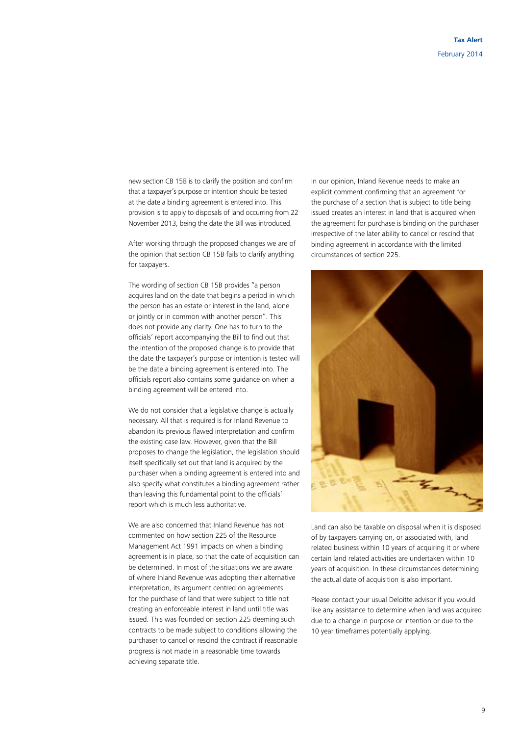new section CB 15B is to clarify the position and confirm that a taxpayer's purpose or intention should be tested at the date a binding agreement is entered into. This provision is to apply to disposals of land occurring from 22 November 2013, being the date the Bill was introduced.

After working through the proposed changes we are of the opinion that section CB 15B fails to clarify anything for taxpayers.

The wording of section CB 15B provides "a person acquires land on the date that begins a period in which the person has an estate or interest in the land, alone or jointly or in common with another person". This does not provide any clarity. One has to turn to the officials' report accompanying the Bill to find out that the intention of the proposed change is to provide that the date the taxpayer's purpose or intention is tested will be the date a binding agreement is entered into. The officials report also contains some guidance on when a binding agreement will be entered into.

We do not consider that a legislative change is actually necessary. All that is required is for Inland Revenue to abandon its previous flawed interpretation and confirm the existing case law. However, given that the Bill proposes to change the legislation, the legislation should itself specifically set out that land is acquired by the purchaser when a binding agreement is entered into and also specify what constitutes a binding agreement rather than leaving this fundamental point to the officials' report which is much less authoritative.

We are also concerned that Inland Revenue has not commented on how section 225 of the Resource Management Act 1991 impacts on when a binding agreement is in place, so that the date of acquisition can be determined. In most of the situations we are aware of where Inland Revenue was adopting their alternative interpretation, its argument centred on agreements for the purchase of land that were subject to title not creating an enforceable interest in land until title was issued. This was founded on section 225 deeming such contracts to be made subject to conditions allowing the purchaser to cancel or rescind the contract if reasonable progress is not made in a reasonable time towards achieving separate title.

In our opinion, Inland Revenue needs to make an explicit comment confirming that an agreement for the purchase of a section that is subject to title being issued creates an interest in land that is acquired when the agreement for purchase is binding on the purchaser irrespective of the later ability to cancel or rescind that binding agreement in accordance with the limited circumstances of section 225.



Land can also be taxable on disposal when it is disposed of by taxpayers carrying on, or associated with, land related business within 10 years of acquiring it or where certain land related activities are undertaken within 10 years of acquisition. In these circumstances determining the actual date of acquisition is also important.

Please contact your usual Deloitte advisor if you would like any assistance to determine when land was acquired due to a change in purpose or intention or due to the 10 year timeframes potentially applying.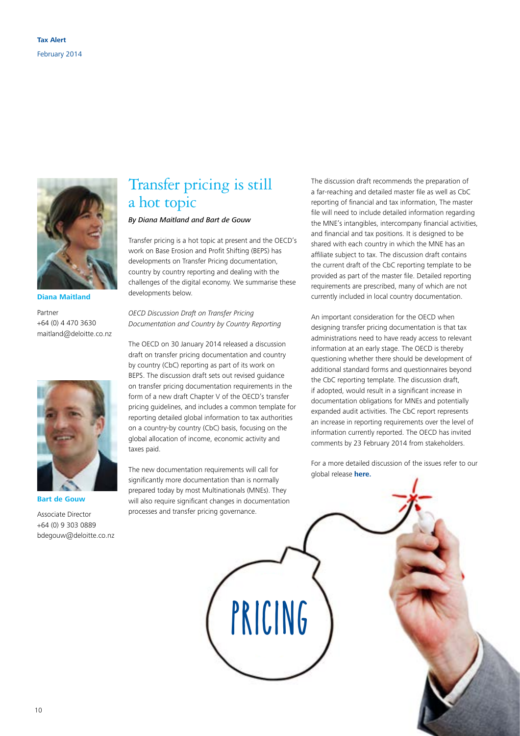

**Diana Maitland**

Partner +64 (0) 4 470 3630 maitland@deloitte.co.nz



**Bart de Gouw**

Associate Director +64 (0) 9 303 0889 bdegouw@deloitte.co.nz

## Transfer pricing is still a hot topic

#### *By Diana Maitland and Bart de Gouw*

Transfer pricing is a hot topic at present and the OECD's work on Base Erosion and Profit Shifting (BEPS) has developments on Transfer Pricing documentation, country by country reporting and dealing with the challenges of the digital economy. We summarise these developments below.

*OECD Discussion Draft on Transfer Pricing Documentation and Country by Country Reporting*

The OECD on 30 January 2014 released a discussion draft on transfer pricing documentation and country by country (CbC) reporting as part of its work on BEPS. The discussion draft sets out revised guidance on transfer pricing documentation requirements in the form of a new draft Chapter V of the OECD's transfer pricing guidelines, and includes a common template for reporting detailed global information to tax authorities on a country-by country (CbC) basis, focusing on the global allocation of income, economic activity and taxes paid.

The new documentation requirements will call for significantly more documentation than is normally prepared today by most Multinationals (MNEs). They will also require significant changes in documentation processes and transfer pricing governance.

The discussion draft recommends the preparation of a far-reaching and detailed master file as well as CbC reporting of financial and tax information, The master file will need to include detailed information regarding the MNE's intangibles, intercompany financial activities, and financial and tax positions. It is designed to be shared with each country in which the MNE has an affiliate subject to tax. The discussion draft contains the current draft of the CbC reporting template to be provided as part of the master file. Detailed reporting requirements are prescribed, many of which are not currently included in local country documentation.

An important consideration for the OECD when designing transfer pricing documentation is that tax administrations need to have ready access to relevant information at an early stage. The OECD is thereby questioning whether there should be development of additional standard forms and questionnaires beyond the CbC reporting template. The discussion draft, if adopted, would result in a significant increase in documentation obligations for MNEs and potentially expanded audit activities. The CbC report represents an increase in reporting requirements over the level of information currently reported. The OECD has invited comments by 23 February 2014 from stakeholders.

For a more detailed discussion of the issues refer to our global release **[here.](http://newsletters.usdbriefs.com/2014/Tax/ALS/140203_1.html?elq=d6bcebd8252a4650bd1e53801dba3c4c&elqCampaignId=)**

**PRICING**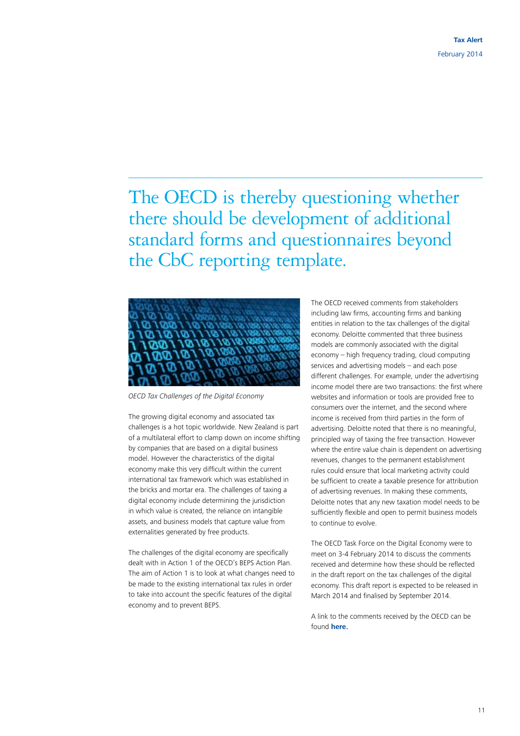The OECD is thereby questioning whether there should be development of additional standard forms and questionnaires beyond the CbC reporting template.



*OECD Tax Challenges of the Digital Economy*

The growing digital economy and associated tax challenges is a hot topic worldwide. New Zealand is part of a multilateral effort to clamp down on income shifting by companies that are based on a digital business model. However the characteristics of the digital economy make this very difficult within the current international tax framework which was established in the bricks and mortar era. The challenges of taxing a digital economy include determining the jurisdiction in which value is created, the reliance on intangible assets, and business models that capture value from externalities generated by free products.

The challenges of the digital economy are specifically dealt with in Action 1 of the OECD's BEPS Action Plan. The aim of Action 1 is to look at what changes need to be made to the existing international tax rules in order to take into account the specific features of the digital economy and to prevent BEPS.

The OECD received comments from stakeholders including law firms, accounting firms and banking entities in relation to the tax challenges of the digital economy. Deloitte commented that three business models are commonly associated with the digital economy – high frequency trading, cloud computing services and advertising models – and each pose different challenges. For example, under the advertising income model there are two transactions: the first where websites and information or tools are provided free to consumers over the internet, and the second where income is received from third parties in the form of advertising. Deloitte noted that there is no meaningful, principled way of taxing the free transaction. However where the entire value chain is dependent on advertising revenues, changes to the permanent establishment rules could ensure that local marketing activity could be sufficient to create a taxable presence for attribution of advertising revenues. In making these comments, Deloitte notes that any new taxation model needs to be sufficiently flexible and open to permit business models to continue to evolve.

The OECD Task Force on the Digital Economy were to meet on 3-4 February 2014 to discuss the comments received and determine how these should be reflected in the draft report on the tax challenges of the digital economy. This draft report is expected to be released in March 2014 and finalised by September 2014.

A link to the comments received by the OECD can be found **[here.](http://www.oecd.org/ctp/comments-received-tax-challenges-digital-economy.pdf)**